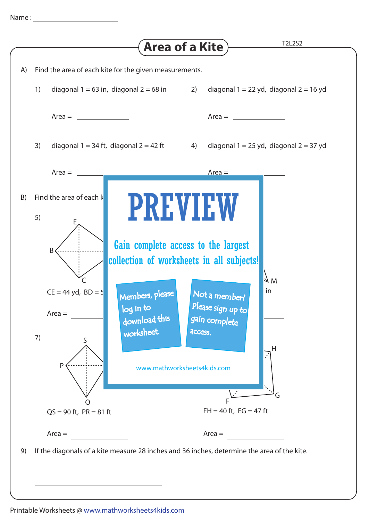